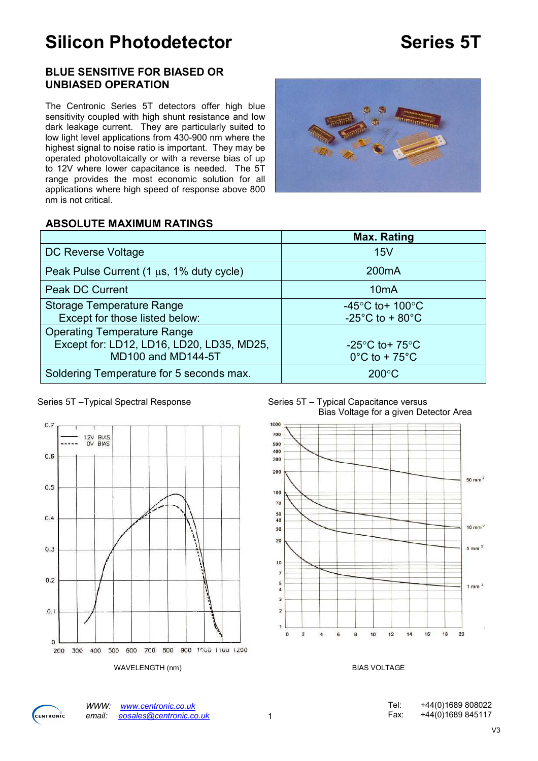# Silicon Photodetector **Series 5T**

#### BLUE SENSITIVE FOR BIASED OR UNBIASED OPERATION

The Centronic Series 5T detectors offer high blue sensitivity coupled with high shunt resistance and low dark leakage current. They are particularly suited to low light level applications from 430-900 nm where the highest signal to noise ratio is important. They may be operated photovoltaically or with a reverse bias of up to 12V where lower capacitance is needed. The 5T range provides the most economic solution for all applications where high speed of response above 800 nm is not critical.



#### ABSOLUTE MAXIMUM RATINGS

|                                               | Max. Rating                           |
|-----------------------------------------------|---------------------------------------|
| DC Reverse Voltage                            | 15V                                   |
| Peak Pulse Current (1 $\mu$ s, 1% duty cycle) | 200 <sub>m</sub> A                    |
| <b>Peak DC Current</b>                        | 10 <sub>m</sub> A                     |
| <b>Storage Temperature Range</b>              | -45 $\degree$ C to+ 100 $\degree$ C   |
| Except for those listed below:                | -25 $^{\circ}$ C to + 80 $^{\circ}$ C |
| <b>Operating Temperature Range</b>            |                                       |
| Except for: LD12, LD16, LD20, LD35, MD25,     | $-25^{\circ}$ C to + 75 $^{\circ}$ C  |
| MD100 and MD144-5T                            | $0^{\circ}$ C to + 75 $^{\circ}$ C    |
| Soldering Temperature for 5 seconds max.      | $200^{\circ}$ C                       |



#### Series 5T – Typical Spectral Response Series 5T – Typical Capacitance versus Bias Voltage for a given Detector Area





WWW: www.centronic.co.uk<br>email: eosales@centronic.co eosales@centronic.co.uk 1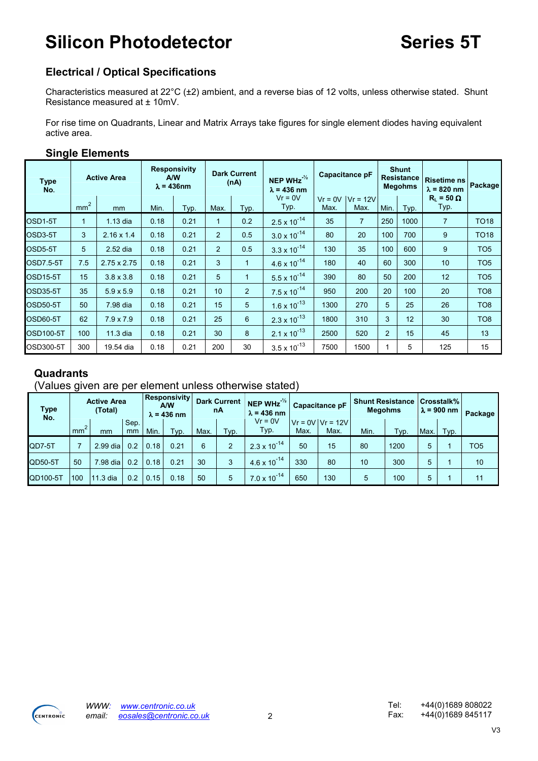# Silicon Photodetector **Series 5T**

## Electrical / Optical Specifications

Characteristics measured at 22°C (±2) ambient, and a reverse bias of 12 volts, unless otherwise stated. Shunt Resistance measured at ± 10mV.

For rise time on Quadrants, Linear and Matrix Arrays take figures for single element diodes having equivalent active area.

### Single Elements

| <b>Type</b><br>No. |                 | <b>Active Area</b> |      | <b>Responsivity</b><br><b>A/W</b><br>$\lambda$ = 436nm |                | <b>Dark Current</b><br>(nA) | NEP WHz $\frac{1}{2}$<br>$\lambda$ = 436 nm |                   | Capacitance pF    |                 | <b>Shunt</b><br><b>Resistance</b><br><b>Megohms</b> | <b>Risetime ns</b><br>$\lambda$ = 820 nm | Package         |
|--------------------|-----------------|--------------------|------|--------------------------------------------------------|----------------|-----------------------------|---------------------------------------------|-------------------|-------------------|-----------------|-----------------------------------------------------|------------------------------------------|-----------------|
|                    | mm <sup>2</sup> | mm                 | Min. | Typ.                                                   | Max.           | Typ.                        | $Vr = 0V$<br>Typ.                           | $Vr = 0V$<br>Max. | $V = 12V$<br>Max. | Min.            | Typ.                                                | $R_1 = 50 \Omega$<br>Typ.                |                 |
| OSD1-5T            | 1               | 1.13 dia           | 0.18 | 0.21                                                   | 1              | 0.2                         | $2.5 \times 10^{-14}$                       | 35                | $\overline{7}$    | 250             | 1000                                                | $\overline{7}$                           | <b>TO18</b>     |
| OSD3-5T            | 3               | $2.16 \times 1.4$  | 0.18 | 0.21                                                   | $\overline{2}$ | 0.5                         | $3.0 \times 10^{-14}$                       | 80                | 20                | 100             | 700                                                 | 9                                        | <b>TO18</b>     |
| OSD5-5T            | 5               | 2.52 dia           | 0.18 | 0.21                                                   | $\overline{2}$ | 0.5                         | $3.3 \times 10^{-14}$                       | 130               | 35                | 100             | 600                                                 | 9                                        | TO <sub>5</sub> |
| <b>OSD7.5-5T</b>   | 7.5             | $2.75 \times 2.75$ | 0.18 | 0.21                                                   | 3              | $\mathbf 1$                 | $4.6 \times 10^{-14}$                       | 180               | 40                | 60              | 300                                                 | 10                                       | TO <sub>5</sub> |
| <b>OSD15-5T</b>    | 15              | $3.8 \times 3.8$   | 0.18 | 0.21                                                   | 5              | $\blacksquare$              | $5.5 \times 10^{-14}$                       | 390               | 80                | 50              | 200                                                 | 12                                       | TO <sub>5</sub> |
| OSD35-5T           | 35              | $5.9 \times 5.9$   | 0.18 | 0.21                                                   | 10             | 2                           | $7.5 \times 10^{-14}$                       | 950               | 200               | 20              | 100                                                 | 20                                       | TO <sub>8</sub> |
| <b>OSD50-5T</b>    | 50              | 7.98 dia           | 0.18 | 0.21                                                   | 15             | 5                           | $1.6 \times 10^{-13}$                       | 1300              | 270               | $5\overline{)}$ | 25                                                  | 26                                       | TO <sub>8</sub> |
| <b>OSD60-5T</b>    | 62              | $7.9 \times 7.9$   | 0.18 | 0.21                                                   | 25             | 6                           | $2.3 \times 10^{-13}$                       | 1800              | 310               | 3               | 12                                                  | 30                                       | TO <sub>8</sub> |
| <b>OSD100-5T</b>   | 100             | 11.3 dia           | 0.18 | 0.21                                                   | 30             | 8                           | $2.1 \times 10^{-13}$                       | 2500              | 520               | $\overline{2}$  | 15                                                  | 45                                       | 13              |
| <b>OSD300-5T</b>   | 300             | 19.54 dia          | 0.18 | 0.21                                                   | 200            | 30                          | $3.5 \times 10^{-13}$                       | 7500              | 1500              |                 | 5                                                   | 125                                      | 15              |

## **Quadrants**

#### (Values given are per element unless otherwise stated)

| <b>Type</b><br>No. |     | <b>Active Area</b><br>(Total) |            |      | <b>Responsivity</b><br>A/W<br>$\lambda$ = 436 nm |      | <b>Dark Current</b><br>nA | NEP WHz $^{\frac{1}{2}}$<br>$\lambda$ = 436 nm |      | <b>Capacitance pF</b>        | <b>Shunt Resistance</b><br><b>Megohms</b> | ∣Crosstalk% ∣<br>$\lambda$ = 900 nm |      | Package |                 |  |
|--------------------|-----|-------------------------------|------------|------|--------------------------------------------------|------|---------------------------|------------------------------------------------|------|------------------------------|-------------------------------------------|-------------------------------------|------|---------|-----------------|--|
|                    | mm  | mm                            | Sep.<br>mm | Min. | Typ.                                             | Max. | Typ.                      | $Vr = 0V$<br>Typ.                              | Max. | $Vr = 0V$ $Vr = 12V$<br>Max. |                                           | Typ.                                | Max. | Typ.    |                 |  |
| QD7-5T             |     | 2.99 dia                      | 0.2        | 0.18 | 0.21                                             | 6    | $\mathcal{P}$             | $2.3 \times 10^{-14}$                          | 50   | 15                           | 80                                        | 1200                                | 5    |         | TO <sub>5</sub> |  |
| QD50-5T            | 50  | 7.98 dia                      | 0.2        | 0.18 | 0.21                                             | 30   | 3                         | $4.6 \times 10^{-14}$                          | 330  | 80                           | 10                                        | 300                                 | 5    |         | 10              |  |
| QD100-5T           | 100 | 11.3 dia                      | 0.2        | 0.15 | 0.18                                             | 50   | 5                         | $7.0 \times 10^{-14}$   m                      | 650  | 130                          | 5                                         | 100                                 | 5    |         | 11              |  |